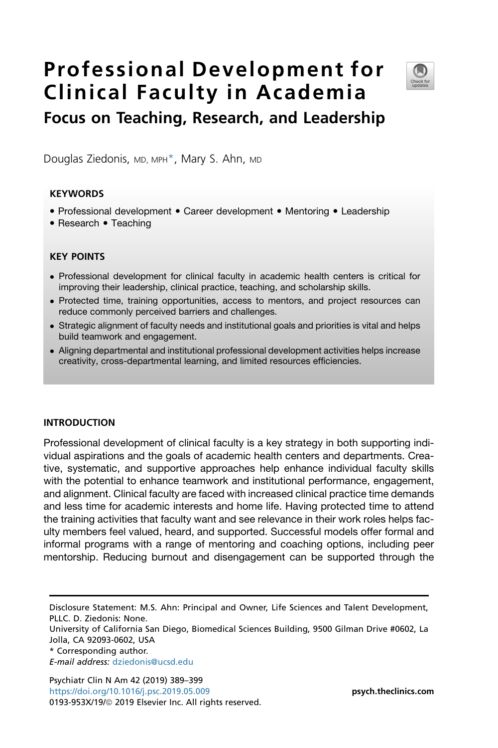# Professional Development for Clinical Faculty in Academia Focus on Teaching, Research, and Leadership



Douglas Ziedonis, MD, MPH<sup>\*</sup>, Mary S. Ahn, MD

## **KEYWORDS**

- Professional development Career development Mentoring Leadership
- Research Teaching

#### KEY POINTS

- Professional development for clinical faculty in academic health centers is critical for improving their leadership, clinical practice, teaching, and scholarship skills.
- Protected time, training opportunities, access to mentors, and project resources can reduce commonly perceived barriers and challenges.
- Strategic alignment of faculty needs and institutional goals and priorities is vital and helps build teamwork and engagement.
- Aligning departmental and institutional professional development activities helps increase creativity, cross-departmental learning, and limited resources efficiencies.

#### INTRODUCTION

Professional development of clinical faculty is a key strategy in both supporting individual aspirations and the goals of academic health centers and departments. Creative, systematic, and supportive approaches help enhance individual faculty skills with the potential to enhance teamwork and institutional performance, engagement, and alignment. Clinical faculty are faced with increased clinical practice time demands and less time for academic interests and home life. Having protected time to attend the training activities that faculty want and see relevance in their work roles helps faculty members feel valued, heard, and supported. Successful models offer formal and informal programs with a range of mentoring and coaching options, including peer mentorship. Reducing burnout and disengagement can be supported through the

University of California San Diego, Biomedical Sciences Building, 9500 Gilman Drive #0602, La Jolla, CA 92093-0602, USA

\* Corresponding author.

E-mail address: [dziedonis@ucsd.edu](mailto:dziedonis@ucsd.edu)

Psychiatr Clin N Am 42 (2019) 389–399 <https://doi.org/10.1016/j.psc.2019.05.009> **[psych.theclinics.com](http://psych.theclinics.com)** 0193-953X/19/@ 2019 Elsevier Inc. All rights reserved.

Disclosure Statement: M.S. Ahn: Principal and Owner, Life Sciences and Talent Development, PLLC. D. Ziedonis: None.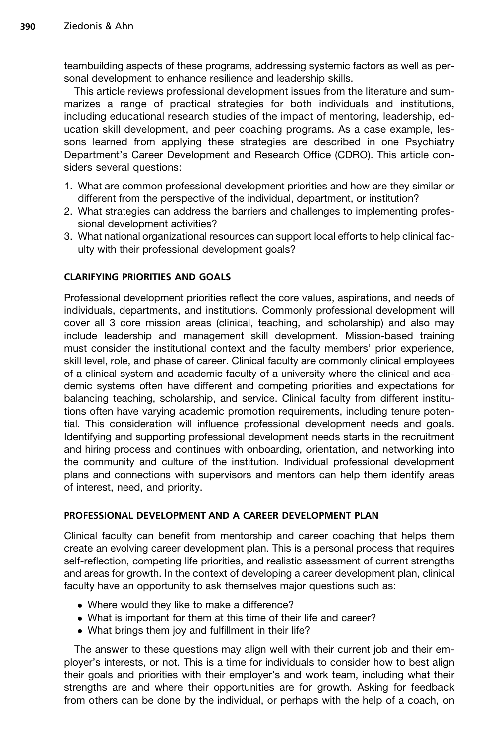teambuilding aspects of these programs, addressing systemic factors as well as personal development to enhance resilience and leadership skills.

This article reviews professional development issues from the literature and summarizes a range of practical strategies for both individuals and institutions, including educational research studies of the impact of mentoring, leadership, education skill development, and peer coaching programs. As a case example, lessons learned from applying these strategies are described in one Psychiatry Department's Career Development and Research Office (CDRO). This article considers several questions:

- 1. What are common professional development priorities and how are they similar or different from the perspective of the individual, department, or institution?
- 2. What strategies can address the barriers and challenges to implementing professional development activities?
- 3. What national organizational resources can support local efforts to help clinical faculty with their professional development goals?

# CLARIFYING PRIORITIES AND GOALS

Professional development priorities reflect the core values, aspirations, and needs of individuals, departments, and institutions. Commonly professional development will cover all 3 core mission areas (clinical, teaching, and scholarship) and also may include leadership and management skill development. Mission-based training must consider the institutional context and the faculty members' prior experience, skill level, role, and phase of career. Clinical faculty are commonly clinical employees of a clinical system and academic faculty of a university where the clinical and academic systems often have different and competing priorities and expectations for balancing teaching, scholarship, and service. Clinical faculty from different institutions often have varying academic promotion requirements, including tenure potential. This consideration will influence professional development needs and goals. Identifying and supporting professional development needs starts in the recruitment and hiring process and continues with onboarding, orientation, and networking into the community and culture of the institution. Individual professional development plans and connections with supervisors and mentors can help them identify areas of interest, need, and priority.

## PROFESSIONAL DEVELOPMENT AND A CAREER DEVELOPMENT PLAN

Clinical faculty can benefit from mentorship and career coaching that helps them create an evolving career development plan. This is a personal process that requires self-reflection, competing life priorities, and realistic assessment of current strengths and areas for growth. In the context of developing a career development plan, clinical faculty have an opportunity to ask themselves major questions such as:

- Where would they like to make a difference?
- What is important for them at this time of their life and career?
- What brings them joy and fulfillment in their life?

The answer to these questions may align well with their current job and their employer's interests, or not. This is a time for individuals to consider how to best align their goals and priorities with their employer's and work team, including what their strengths are and where their opportunities are for growth. Asking for feedback from others can be done by the individual, or perhaps with the help of a coach, on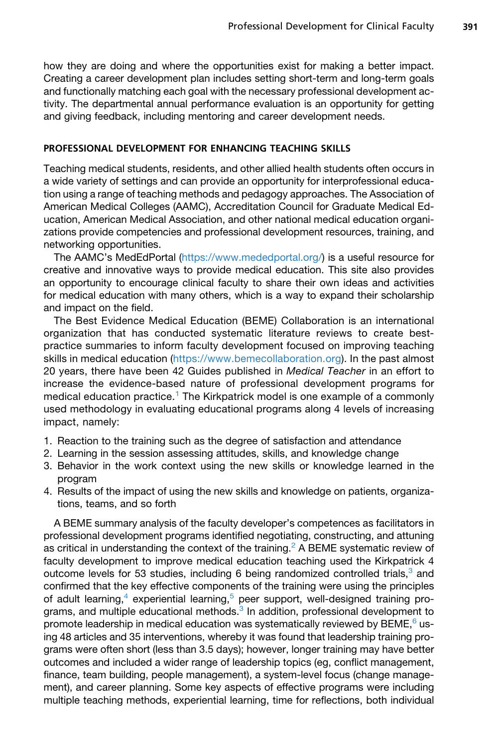how they are doing and where the opportunities exist for making a better impact. Creating a career development plan includes setting short-term and long-term goals and functionally matching each goal with the necessary professional development activity. The departmental annual performance evaluation is an opportunity for getting and giving feedback, including mentoring and career development needs.

#### PROFESSIONAL DEVELOPMENT FOR ENHANCING TEACHING SKILLS

Teaching medical students, residents, and other allied health students often occurs in a wide variety of settings and can provide an opportunity for interprofessional education using a range of teaching methods and pedagogy approaches. The Association of American Medical Colleges (AAMC), Accreditation Council for Graduate Medical Education, American Medical Association, and other national medical education organizations provide competencies and professional development resources, training, and networking opportunities.

The AAMC's MedEdPortal (<https://www.mededportal.org/>) is a useful resource for creative and innovative ways to provide medical education. This site also provides an opportunity to encourage clinical faculty to share their own ideas and activities for medical education with many others, which is a way to expand their scholarship and impact on the field.

The Best Evidence Medical Education (BEME) Collaboration is an international organization that has conducted systematic literature reviews to create bestpractice summaries to inform faculty development focused on improving teaching skills in medical education [\(https://www.bemecollaboration.org](https://www.bemecollaboration.org)). In the past almost 20 years, there have been 42 Guides published in *Medical Teacher* in an effort to increase the evidence-based nature of professional development programs for medical education practice.<sup>[1](#page-8-0)</sup> The Kirkpatrick model is one example of a commonly used methodology in evaluating educational programs along 4 levels of increasing impact, namely:

- 1. Reaction to the training such as the degree of satisfaction and attendance
- 2. Learning in the session assessing attitudes, skills, and knowledge change
- 3. Behavior in the work context using the new skills or knowledge learned in the program
- 4. Results of the impact of using the new skills and knowledge on patients, organizations, teams, and so forth

A BEME summary analysis of the faculty developer's competences as facilitators in professional development programs identified negotiating, constructing, and attuning as critical in understanding the context of the training.<sup>[2](#page-9-0)</sup> A BEME systematic review of faculty development to improve medical education teaching used the Kirkpatrick 4 outcome levels for 5[3](#page-9-0) studies, including 6 being randomized controlled trials, $3$  and confirmed that the key effective components of the training were using the principles of adult learning,<sup>4</sup> experiential learning,<sup>[5](#page-9-0)</sup> peer support, well-designed training pro-grams, and multiple educational methods.<sup>[3](#page-9-0)</sup> In addition, professional development to promote leadership in medical education was systematically reviewed by  $BEME<sub>0</sub><sup>6</sup>$  $BEME<sub>0</sub><sup>6</sup>$  $BEME<sub>0</sub><sup>6</sup>$  using 48 articles and 35 interventions, whereby it was found that leadership training programs were often short (less than 3.5 days); however, longer training may have better outcomes and included a wider range of leadership topics (eg, conflict management, finance, team building, people management), a system-level focus (change management), and career planning. Some key aspects of effective programs were including multiple teaching methods, experiential learning, time for reflections, both individual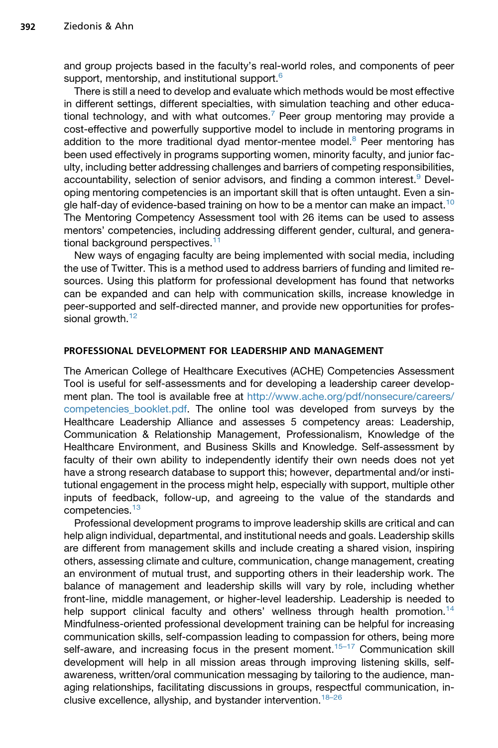and group projects based in the faculty's real-world roles, and components of peer support, mentorship, and institutional support.<sup>[6](#page-9-0)</sup>

There is still a need to develop and evaluate which methods would be most effective in different settings, different specialties, with simulation teaching and other educa-tional technology, and with what outcomes.<sup>[7](#page-9-0)</sup> Peer group mentoring may provide a cost-effective and powerfully supportive model to include in mentoring programs in addition to the more traditional dyad mentor-mentee model. $8$  Peer mentoring has been used effectively in programs supporting women, minority faculty, and junior faculty, including better addressing challenges and barriers of competing responsibilities, accountability, selection of senior advisors, and finding a common interest.<sup>[9](#page-9-0)</sup> Developing mentoring competencies is an important skill that is often untaught. Even a sin-gle half-day of evidence-based training on how to be a mentor can make an impact.<sup>[10](#page-9-0)</sup> The Mentoring Competency Assessment tool with 26 items can be used to assess mentors' competencies, including addressing different gender, cultural, and genera-tional background perspectives.<sup>[11](#page-9-0)</sup>

New ways of engaging faculty are being implemented with social media, including the use of Twitter. This is a method used to address barriers of funding and limited resources. Using this platform for professional development has found that networks can be expanded and can help with communication skills, increase knowledge in peer-supported and self-directed manner, and provide new opportunities for professional growth. $12$ 

#### PROFESSIONAL DEVELOPMENT FOR LEADERSHIP AND MANAGEMENT

The American College of Healthcare Executives (ACHE) Competencies Assessment Tool is useful for self-assessments and for developing a leadership career development plan. The tool is available free at [http://www.ache.org/pdf/nonsecure/careers/](http://www.ache.org/pdf/nonsecure/careers/competencies_booklet.pdf) [competencies\\_booklet.pdf](http://www.ache.org/pdf/nonsecure/careers/competencies_booklet.pdf). The online tool was developed from surveys by the Healthcare Leadership Alliance and assesses 5 competency areas: Leadership, Communication & Relationship Management, Professionalism, Knowledge of the Healthcare Environment, and Business Skills and Knowledge. Self-assessment by faculty of their own ability to independently identify their own needs does not yet have a strong research database to support this; however, departmental and/or institutional engagement in the process might help, especially with support, multiple other inputs of feedback, follow-up, and agreeing to the value of the standards and competencies.<sup>[13](#page-9-0)</sup>

Professional development programs to improve leadership skills are critical and can help align individual, departmental, and institutional needs and goals. Leadership skills are different from management skills and include creating a shared vision, inspiring others, assessing climate and culture, communication, change management, creating an environment of mutual trust, and supporting others in their leadership work. The balance of management and leadership skills will vary by role, including whether front-line, middle management, or higher-level leadership. Leadership is needed to help support clinical faculty and others' wellness through health promotion.<sup>[14](#page-9-0)</sup> Mindfulness-oriented professional development training can be helpful for increasing communication skills, self-compassion leading to compassion for others, being more self-aware, and increasing focus in the present moment.<sup>15-17</sup> Communication skill development will help in all mission areas through improving listening skills, selfawareness, written/oral communication messaging by tailoring to the audience, managing relationships, facilitating discussions in groups, respectful communication, inclusive excellence, allyship, and bystander intervention.<sup>18-26</sup>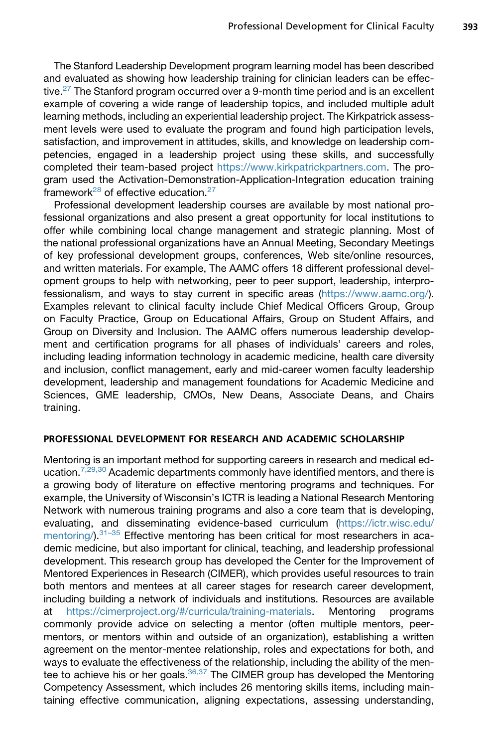The Stanford Leadership Development program learning model has been described and evaluated as showing how leadership training for clinician leaders can be effec-tive.<sup>[27](#page-10-0)</sup> The Stanford program occurred over a 9-month time period and is an excellent example of covering a wide range of leadership topics, and included multiple adult learning methods, including an experiential leadership project. The Kirkpatrick assessment levels were used to evaluate the program and found high participation levels, satisfaction, and improvement in attitudes, skills, and knowledge on leadership competencies, engaged in a leadership project using these skills, and successfully completed their team-based project <https://www.kirkpatrickpartners.com>. The program used the Activation-Demonstration-Application-Integration education training framework<sup>[28](#page-10-0)</sup> of effective education.<sup>[27](#page-10-0)</sup>

Professional development leadership courses are available by most national professional organizations and also present a great opportunity for local institutions to offer while combining local change management and strategic planning. Most of the national professional organizations have an Annual Meeting, Secondary Meetings of key professional development groups, conferences, Web site/online resources, and written materials. For example, The AAMC offers 18 different professional development groups to help with networking, peer to peer support, leadership, interprofessionalism, and ways to stay current in specific areas ([https://www.aamc.org/\)](https://www.aamc.org/). Examples relevant to clinical faculty include Chief Medical Officers Group, Group on Faculty Practice, Group on Educational Affairs, Group on Student Affairs, and Group on Diversity and Inclusion. The AAMC offers numerous leadership development and certification programs for all phases of individuals' careers and roles, including leading information technology in academic medicine, health care diversity and inclusion, conflict management, early and mid-career women faculty leadership development, leadership and management foundations for Academic Medicine and Sciences, GME leadership, CMOs, New Deans, Associate Deans, and Chairs training.

# PROFESSIONAL DEVELOPMENT FOR RESEARCH AND ACADEMIC SCHOLARSHIP

Mentoring is an important method for supporting careers in research and medical ed-ucation.<sup>[7,29,30](#page-9-0)</sup> Academic departments commonly have identified mentors, and there is a growing body of literature on effective mentoring programs and techniques. For example, the University of Wisconsin's ICTR is leading a National Research Mentoring Network with numerous training programs and also a core team that is developing, evaluating, and disseminating evidence-based curriculum ([https://ictr.wisc.edu/](https://ictr.wisc.edu/mentoring/) [mentoring/](https://ictr.wisc.edu/mentoring/)).<sup>31–35</sup> Effective mentoring has been critical for most researchers in academic medicine, but also important for clinical, teaching, and leadership professional development. This research group has developed the Center for the Improvement of Mentored Experiences in Research (CIMER), which provides useful resources to train both mentors and mentees at all career stages for research career development, including building a network of individuals and institutions. Resources are available at <https://cimerproject.org/#/curricula/training-materials>. Mentoring programs commonly provide advice on selecting a mentor (often multiple mentors, peermentors, or mentors within and outside of an organization), establishing a written agreement on the mentor-mentee relationship, roles and expectations for both, and ways to evaluate the effectiveness of the relationship, including the ability of the mentee to achieve his or her goals. $36,37$  The CIMER group has developed the Mentoring Competency Assessment, which includes 26 mentoring skills items, including maintaining effective communication, aligning expectations, assessing understanding,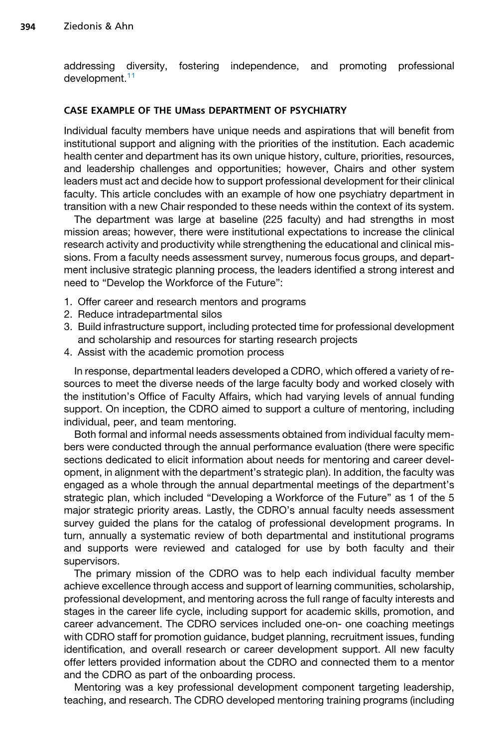addressing diversity, fostering independence, and promoting professional development.<sup>[11](#page-9-0)</sup>

#### CASE EXAMPLE OF THE UMass DEPARTMENT OF PSYCHIATRY

Individual faculty members have unique needs and aspirations that will benefit from institutional support and aligning with the priorities of the institution. Each academic health center and department has its own unique history, culture, priorities, resources, and leadership challenges and opportunities; however, Chairs and other system leaders must act and decide how to support professional development for their clinical faculty. This article concludes with an example of how one psychiatry department in transition with a new Chair responded to these needs within the context of its system.

The department was large at baseline (225 faculty) and had strengths in most mission areas; however, there were institutional expectations to increase the clinical research activity and productivity while strengthening the educational and clinical missions. From a faculty needs assessment survey, numerous focus groups, and department inclusive strategic planning process, the leaders identified a strong interest and need to "Develop the Workforce of the Future":

- 1. Offer career and research mentors and programs
- 2. Reduce intradepartmental silos
- 3. Build infrastructure support, including protected time for professional development and scholarship and resources for starting research projects
- 4. Assist with the academic promotion process

In response, departmental leaders developed a CDRO, which offered a variety of resources to meet the diverse needs of the large faculty body and worked closely with the institution's Office of Faculty Affairs, which had varying levels of annual funding support. On inception, the CDRO aimed to support a culture of mentoring, including individual, peer, and team mentoring.

Both formal and informal needs assessments obtained from individual faculty members were conducted through the annual performance evaluation (there were specific sections dedicated to elicit information about needs for mentoring and career development, in alignment with the department's strategic plan). In addition, the faculty was engaged as a whole through the annual departmental meetings of the department's strategic plan, which included "Developing a Workforce of the Future" as 1 of the 5 major strategic priority areas. Lastly, the CDRO's annual faculty needs assessment survey guided the plans for the catalog of professional development programs. In turn, annually a systematic review of both departmental and institutional programs and supports were reviewed and cataloged for use by both faculty and their supervisors.

The primary mission of the CDRO was to help each individual faculty member achieve excellence through access and support of learning communities, scholarship, professional development, and mentoring across the full range of faculty interests and stages in the career life cycle, including support for academic skills, promotion, and career advancement. The CDRO services included one-on- one coaching meetings with CDRO staff for promotion guidance, budget planning, recruitment issues, funding identification, and overall research or career development support. All new faculty offer letters provided information about the CDRO and connected them to a mentor and the CDRO as part of the onboarding process.

Mentoring was a key professional development component targeting leadership, teaching, and research. The CDRO developed mentoring training programs (including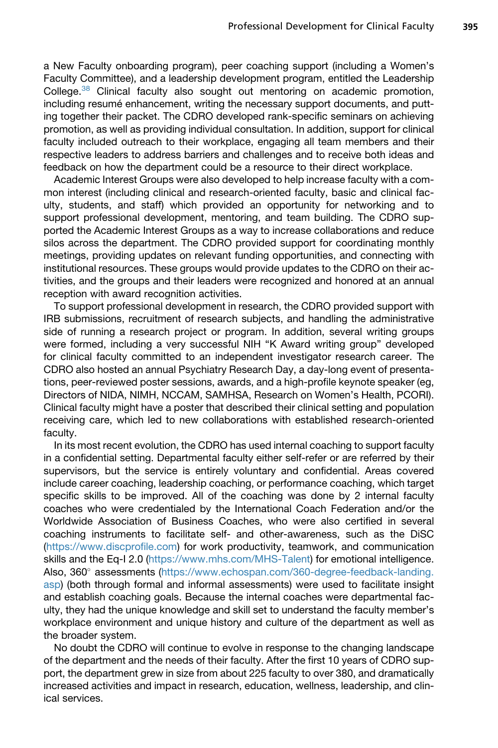a New Faculty onboarding program), peer coaching support (including a Women's Faculty Committee), and a leadership development program, entitled the Leadership College.<sup>[38](#page-10-0)</sup> Clinical faculty also sought out mentoring on academic promotion, including resumé enhancement, writing the necessary support documents, and putting together their packet. The CDRO developed rank-specific seminars on achieving promotion, as well as providing individual consultation. In addition, support for clinical faculty included outreach to their workplace, engaging all team members and their respective leaders to address barriers and challenges and to receive both ideas and feedback on how the department could be a resource to their direct workplace.

Academic Interest Groups were also developed to help increase faculty with a common interest (including clinical and research-oriented faculty, basic and clinical faculty, students, and staff) which provided an opportunity for networking and to support professional development, mentoring, and team building. The CDRO supported the Academic Interest Groups as a way to increase collaborations and reduce silos across the department. The CDRO provided support for coordinating monthly meetings, providing updates on relevant funding opportunities, and connecting with institutional resources. These groups would provide updates to the CDRO on their activities, and the groups and their leaders were recognized and honored at an annual reception with award recognition activities.

To support professional development in research, the CDRO provided support with IRB submissions, recruitment of research subjects, and handling the administrative side of running a research project or program. In addition, several writing groups were formed, including a very successful NIH "K Award writing group" developed for clinical faculty committed to an independent investigator research career. The CDRO also hosted an annual Psychiatry Research Day, a day-long event of presentations, peer-reviewed poster sessions, awards, and a high-profile keynote speaker (eg, Directors of NIDA, NIMH, NCCAM, SAMHSA, Research on Women's Health, PCORI). Clinical faculty might have a poster that described their clinical setting and population receiving care, which led to new collaborations with established research-oriented faculty.

In its most recent evolution, the CDRO has used internal coaching to support faculty in a confidential setting. Departmental faculty either self-refer or are referred by their supervisors, but the service is entirely voluntary and confidential. Areas covered include career coaching, leadership coaching, or performance coaching, which target specific skills to be improved. All of the coaching was done by 2 internal faculty coaches who were credentialed by the International Coach Federation and/or the Worldwide Association of Business Coaches, who were also certified in several coaching instruments to facilitate self- and other-awareness, such as the DiSC [\(https://www.discprofile.com\)](https://www.discprofile.com) for work productivity, teamwork, and communication skills and the Eq-I 2.0 (<https://www.mhs.com/MHS-Talent>) for emotional intelligence. Also, 360° assessments ([https://www.echospan.com/360-degree-feedback-landing.](https://www.echospan.com/360-degree-feedback-landing.asp) [asp](https://www.echospan.com/360-degree-feedback-landing.asp)) (both through formal and informal assessments) were used to facilitate insight and establish coaching goals. Because the internal coaches were departmental faculty, they had the unique knowledge and skill set to understand the faculty member's workplace environment and unique history and culture of the department as well as the broader system.

No doubt the CDRO will continue to evolve in response to the changing landscape of the department and the needs of their faculty. After the first 10 years of CDRO support, the department grew in size from about 225 faculty to over 380, and dramatically increased activities and impact in research, education, wellness, leadership, and clinical services.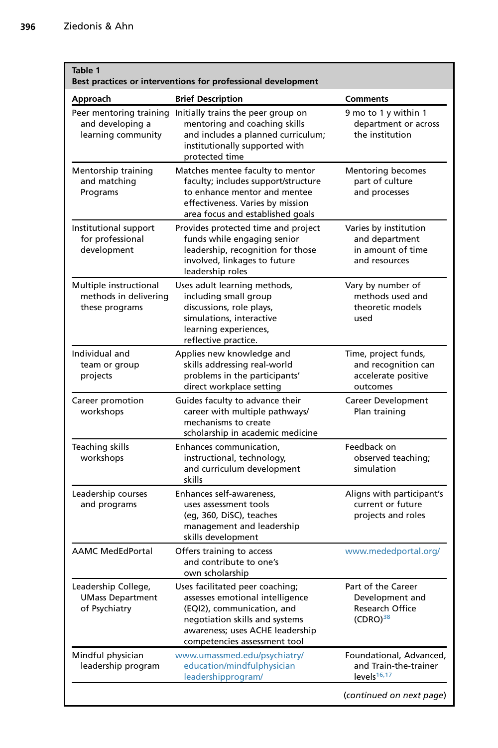<span id="page-7-0"></span>

| Table 1<br>Best practices or interventions for professional development |                                                                                                                                                                                                       |                                                                                         |
|-------------------------------------------------------------------------|-------------------------------------------------------------------------------------------------------------------------------------------------------------------------------------------------------|-----------------------------------------------------------------------------------------|
| Approach                                                                | <b>Brief Description</b>                                                                                                                                                                              | <b>Comments</b>                                                                         |
| and developing a<br>learning community                                  | Peer mentoring training Initially trains the peer group on<br>mentoring and coaching skills<br>and includes a planned curriculum;<br>institutionally supported with<br>protected time                 | 9 mo to 1 y within 1<br>department or across<br>the institution                         |
| Mentorship training<br>and matching<br>Programs                         | Matches mentee faculty to mentor<br>faculty; includes support/structure<br>to enhance mentor and mentee<br>effectiveness. Varies by mission<br>area focus and established goals                       | Mentoring becomes<br>part of culture<br>and processes                                   |
| Institutional support<br>for professional<br>development                | Provides protected time and project<br>funds while engaging senior<br>leadership, recognition for those<br>involved, linkages to future<br>leadership roles                                           | Varies by institution<br>and department<br>in amount of time<br>and resources           |
| Multiple instructional<br>methods in deliverina<br>these programs       | Uses adult learning methods,<br>including small group<br>discussions, role plays,<br>simulations, interactive<br>learning experiences,<br>reflective practice.                                        | Vary by number of<br>methods used and<br>theoretic models<br>used                       |
| Individual and<br>team or group<br>projects                             | Applies new knowledge and<br>skills addressing real-world<br>problems in the participants'<br>direct workplace setting                                                                                | Time, project funds,<br>and recognition can<br>accelerate positive<br>outcomes          |
| Career promotion<br>workshops                                           | Guides faculty to advance their<br>career with multiple pathways/<br>mechanisms to create<br>scholarship in academic medicine                                                                         | <b>Career Development</b><br>Plan training                                              |
| Teaching skills<br>workshops                                            | Enhances communication,<br>instructional, technology,<br>and curriculum development<br>skills                                                                                                         | Feedback on<br>observed teaching;<br>simulation                                         |
| Leadership courses<br>and programs                                      | Enhances self-awareness,<br>uses assessment tools<br>(eg, 360, DiSC), teaches<br>management and leadership<br>skills development                                                                      | Aligns with participant's<br>current or future<br>projects and roles                    |
| <b>AAMC MedEdPortal</b>                                                 | Offers training to access<br>and contribute to one's<br>own scholarship                                                                                                                               | www.mededportal.org/                                                                    |
| Leadership College,<br><b>UMass Department</b><br>of Psychiatry         | Uses facilitated peer coaching;<br>assesses emotional intelligence<br>(EQI2), communication, and<br>negotiation skills and systems<br>awareness; uses ACHE leadership<br>competencies assessment tool | Part of the Career<br>Development and<br><b>Research Office</b><br>(CDRO) <sup>38</sup> |
| Mindful physician<br>leadership program                                 | www.umassmed.edu/psychiatry/<br>education/mindfulphysician<br>leadershipprogram/                                                                                                                      | Foundational, Advanced,<br>and Train-the-trainer<br>levels <sup>16,17</sup>             |
|                                                                         |                                                                                                                                                                                                       | (continued on next page)                                                                |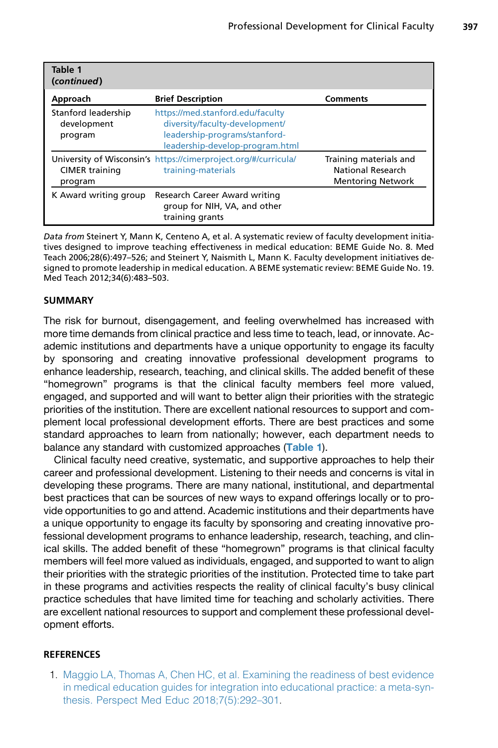<span id="page-8-0"></span>

| Table 1<br>(continued)                        |                                                                                                                                        |                                                                                |
|-----------------------------------------------|----------------------------------------------------------------------------------------------------------------------------------------|--------------------------------------------------------------------------------|
| Approach                                      | <b>Brief Description</b>                                                                                                               | <b>Comments</b>                                                                |
| Stanford leadership<br>development<br>program | https://med.stanford.edu/faculty<br>diversity/faculty-development/<br>leadership-programs/stanford-<br>leadership-develop-program.html |                                                                                |
| <b>CIMER training</b><br>program              | University of Wisconsin's https://cimerproject.org/#/curricula/<br>training-materials                                                  | Training materials and<br><b>National Research</b><br><b>Mentoring Network</b> |
| K Award writing group                         | Research Career Award writing<br>group for NIH, VA, and other<br>training grants                                                       |                                                                                |

Data from Steinert Y, Mann K, Centeno A, et al. A systematic review of faculty development initiatives designed to improve teaching effectiveness in medical education: BEME Guide No. 8. Med Teach 2006;28(6):497–526; and Steinert Y, Naismith L, Mann K. Faculty development initiatives designed to promote leadership in medical education. A BEME systematic review: BEME Guide No. 19. Med Teach 2012;34(6):483–503.

#### SUMMARY

The risk for burnout, disengagement, and feeling overwhelmed has increased with more time demands from clinical practice and less time to teach, lead, or innovate. Academic institutions and departments have a unique opportunity to engage its faculty by sponsoring and creating innovative professional development programs to enhance leadership, research, teaching, and clinical skills. The added benefit of these "homegrown" programs is that the clinical faculty members feel more valued, engaged, and supported and will want to better align their priorities with the strategic priorities of the institution. There are excellent national resources to support and complement local professional development efforts. There are best practices and some standard approaches to learn from nationally; however, each department needs to balance any standard with customized approaches ([Table 1](#page-7-0)).

Clinical faculty need creative, systematic, and supportive approaches to help their career and professional development. Listening to their needs and concerns is vital in developing these programs. There are many national, institutional, and departmental best practices that can be sources of new ways to expand offerings locally or to provide opportunities to go and attend. Academic institutions and their departments have a unique opportunity to engage its faculty by sponsoring and creating innovative professional development programs to enhance leadership, research, teaching, and clinical skills. The added benefit of these "homegrown" programs is that clinical faculty members will feel more valued as individuals, engaged, and supported to want to align their priorities with the strategic priorities of the institution. Protected time to take part in these programs and activities respects the reality of clinical faculty's busy clinical practice schedules that have limited time for teaching and scholarly activities. There are excellent national resources to support and complement these professional development efforts.

### **REFERENCES**

1. [Maggio LA, Thomas A, Chen HC, et al. Examining the readiness of best evidence](http://refhub.elsevier.com/S0193-953X(19)30050-4/sref1) [in medical education guides for integration into educational practice: a meta-syn](http://refhub.elsevier.com/S0193-953X(19)30050-4/sref1)[thesis. Perspect Med Educ 2018;7\(5\):292–301](http://refhub.elsevier.com/S0193-953X(19)30050-4/sref1).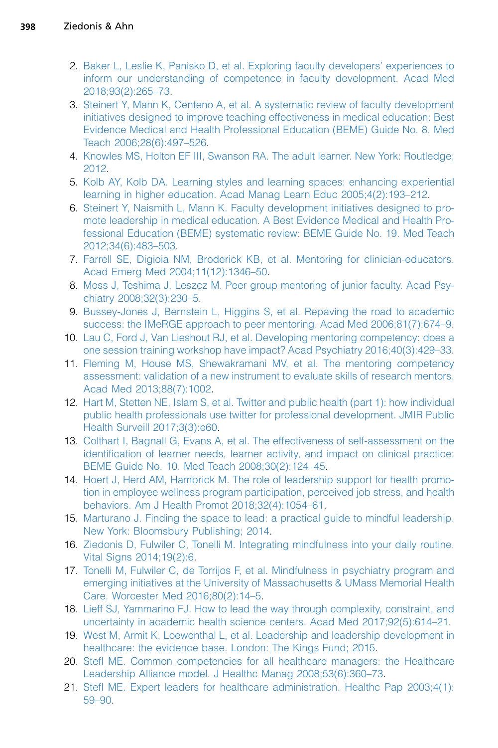- <span id="page-9-0"></span>2. [Baker L, Leslie K, Panisko D, et al. Exploring faculty developers' experiences to](http://refhub.elsevier.com/S0193-953X(19)30050-4/sref2) [inform our understanding of competence in faculty development. Acad Med](http://refhub.elsevier.com/S0193-953X(19)30050-4/sref2) [2018;93\(2\):265–73](http://refhub.elsevier.com/S0193-953X(19)30050-4/sref2).
- 3. [Steinert Y, Mann K, Centeno A, et al. A systematic review of faculty development](http://refhub.elsevier.com/S0193-953X(19)30050-4/sref3) [initiatives designed to improve teaching effectiveness in medical education: Best](http://refhub.elsevier.com/S0193-953X(19)30050-4/sref3) [Evidence Medical and Health Professional Education \(BEME\) Guide No. 8. Med](http://refhub.elsevier.com/S0193-953X(19)30050-4/sref3) [Teach 2006;28\(6\):497–526.](http://refhub.elsevier.com/S0193-953X(19)30050-4/sref3)
- 4. [Knowles MS, Holton EF III, Swanson RA. The adult learner. New York: Routledge;](http://refhub.elsevier.com/S0193-953X(19)30050-4/sref4) [2012](http://refhub.elsevier.com/S0193-953X(19)30050-4/sref4).
- 5. [Kolb AY, Kolb DA. Learning styles and learning spaces: enhancing experiential](http://refhub.elsevier.com/S0193-953X(19)30050-4/sref5) [learning in higher education. Acad Manag Learn Educ 2005;4\(2\):193–212.](http://refhub.elsevier.com/S0193-953X(19)30050-4/sref5)
- 6. [Steinert Y, Naismith L, Mann K. Faculty development initiatives designed to pro](http://refhub.elsevier.com/S0193-953X(19)30050-4/sref6)[mote leadership in medical education. A Best Evidence Medical and Health Pro](http://refhub.elsevier.com/S0193-953X(19)30050-4/sref6)[fessional Education \(BEME\) systematic review: BEME Guide No. 19. Med Teach](http://refhub.elsevier.com/S0193-953X(19)30050-4/sref6) [2012;34\(6\):483–503](http://refhub.elsevier.com/S0193-953X(19)30050-4/sref6).
- 7. [Farrell SE, Digioia NM, Broderick KB, et al. Mentoring for clinician-educators.](http://refhub.elsevier.com/S0193-953X(19)30050-4/sref7) [Acad Emerg Med 2004;11\(12\):1346–50.](http://refhub.elsevier.com/S0193-953X(19)30050-4/sref7)
- 8. [Moss J, Teshima J, Leszcz M. Peer group mentoring of junior faculty. Acad Psy](http://refhub.elsevier.com/S0193-953X(19)30050-4/sref8)[chiatry 2008;32\(3\):230–5](http://refhub.elsevier.com/S0193-953X(19)30050-4/sref8).
- 9. [Bussey-Jones J, Bernstein L, Higgins S, et al. Repaving the road to academic](http://refhub.elsevier.com/S0193-953X(19)30050-4/sref9) [success: the IMeRGE approach to peer mentoring. Acad Med 2006;81\(7\):674–9.](http://refhub.elsevier.com/S0193-953X(19)30050-4/sref9)
- 10. [Lau C, Ford J, Van Lieshout RJ, et al. Developing mentoring competency: does a](http://refhub.elsevier.com/S0193-953X(19)30050-4/sref10) [one session training workshop have impact? Acad Psychiatry 2016;40\(3\):429–33.](http://refhub.elsevier.com/S0193-953X(19)30050-4/sref10)
- 11. [Fleming M, House MS, Shewakramani MV, et al. The mentoring competency](http://refhub.elsevier.com/S0193-953X(19)30050-4/sref11) [assessment: validation of a new instrument to evaluate skills of research mentors.](http://refhub.elsevier.com/S0193-953X(19)30050-4/sref11) [Acad Med 2013;88\(7\):1002](http://refhub.elsevier.com/S0193-953X(19)30050-4/sref11).
- 12. [Hart M, Stetten NE, Islam S, et al. Twitter and public health \(part 1\): how individual](http://refhub.elsevier.com/S0193-953X(19)30050-4/sref12) [public health professionals use twitter for professional development. JMIR Public](http://refhub.elsevier.com/S0193-953X(19)30050-4/sref12) [Health Surveill 2017;3\(3\):e60](http://refhub.elsevier.com/S0193-953X(19)30050-4/sref12).
- 13. [Colthart I, Bagnall G, Evans A, et al. The effectiveness of self-assessment on the](http://refhub.elsevier.com/S0193-953X(19)30050-4/sref13) [identification of learner needs, learner activity, and impact on clinical practice:](http://refhub.elsevier.com/S0193-953X(19)30050-4/sref13) [BEME Guide No. 10. Med Teach 2008;30\(2\):124–45](http://refhub.elsevier.com/S0193-953X(19)30050-4/sref13).
- 14. [Hoert J, Herd AM, Hambrick M. The role of leadership support for health promo](http://refhub.elsevier.com/S0193-953X(19)30050-4/sref14)[tion in employee wellness program participation, perceived job stress, and health](http://refhub.elsevier.com/S0193-953X(19)30050-4/sref14) [behaviors. Am J Health Promot 2018;32\(4\):1054–61.](http://refhub.elsevier.com/S0193-953X(19)30050-4/sref14)
- 15. [Marturano J. Finding the space to lead: a practical guide to mindful leadership.](http://refhub.elsevier.com/S0193-953X(19)30050-4/sref15) [New York: Bloomsbury Publishing; 2014.](http://refhub.elsevier.com/S0193-953X(19)30050-4/sref15)
- 16. [Ziedonis D, Fulwiler C, Tonelli M. Integrating mindfulness into your daily routine.](http://refhub.elsevier.com/S0193-953X(19)30050-4/sref16) [Vital Signs 2014;19\(2\):6](http://refhub.elsevier.com/S0193-953X(19)30050-4/sref16).
- 17. [Tonelli M, Fulwiler C, de Torrijos F, et al. Mindfulness in psychiatry program and](http://refhub.elsevier.com/S0193-953X(19)30050-4/sref17) [emerging initiatives at the University of Massachusetts & UMass Memorial Health](http://refhub.elsevier.com/S0193-953X(19)30050-4/sref17) [Care. Worcester Med 2016;80\(2\):14–5.](http://refhub.elsevier.com/S0193-953X(19)30050-4/sref17)
- 18. [Lieff SJ, Yammarino FJ. How to lead the way through complexity, constraint, and](http://refhub.elsevier.com/S0193-953X(19)30050-4/sref18) [uncertainty in academic health science centers. Acad Med 2017;92\(5\):614–21](http://refhub.elsevier.com/S0193-953X(19)30050-4/sref18).
- 19. [West M, Armit K, Loewenthal L, et al. Leadership and leadership development in](http://refhub.elsevier.com/S0193-953X(19)30050-4/sref19) [healthcare: the evidence base. London: The Kings Fund; 2015.](http://refhub.elsevier.com/S0193-953X(19)30050-4/sref19)
- 20. [Stefl ME. Common competencies for all healthcare managers: the Healthcare](http://refhub.elsevier.com/S0193-953X(19)30050-4/sref20) [Leadership Alliance model. J Healthc Manag 2008;53\(6\):360–73](http://refhub.elsevier.com/S0193-953X(19)30050-4/sref20).
- 21. [Stefl ME. Expert leaders for healthcare administration. Healthc Pap 2003;4\(1\):](http://refhub.elsevier.com/S0193-953X(19)30050-4/sref21) [59–90.](http://refhub.elsevier.com/S0193-953X(19)30050-4/sref21)